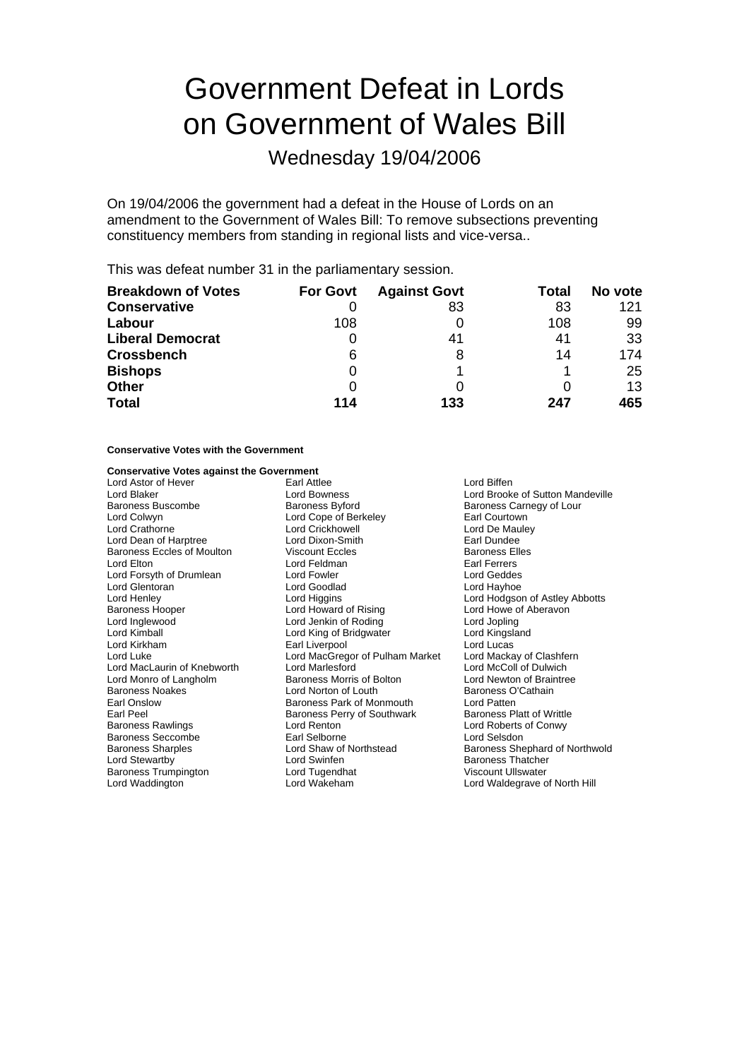# Government Defeat in Lords on Government of Wales Bill

Wednesday 19/04/2006

On 19/04/2006 the government had a defeat in the House of Lords on an amendment to the Government of Wales Bill: To remove subsections preventing constituency members from standing in regional lists and vice-versa..

This was defeat number 31 in the parliamentary session.

| <b>Breakdown of Votes</b> | <b>For Govt</b> | <b>Against Govt</b> | Total | No vote |
|---------------------------|-----------------|---------------------|-------|---------|
| <b>Conservative</b>       |                 | 83                  | 83    | 121     |
| Labour                    | 108             |                     | 108   | 99      |
| <b>Liberal Democrat</b>   | O               | 41                  | 41    | 33      |
| <b>Crossbench</b>         | 6               |                     | 14    | 174     |
| <b>Bishops</b>            | 0               |                     |       | 25      |
| <b>Other</b>              | 0               |                     |       | 13      |
| <b>Total</b>              | 114             | 133                 | 247   | 465     |

### **Conservative Votes with the Government**

### **Conservative Votes against the Government**

Lord Astor of Hever Earl Attlee Lord Biffen Lord Blaker Lord Bowness Lord Brooke of Sutton Mandeville Baroness Buscombe **Baroness Byford** Baroness Carnegy of Lour<br>
Lord Colwyn **Baroness Buscombe Baroness Byford** Berkeley **Baroness Carnegy of Lour** Lord Colwyn Lord Cope of Berkeley **Communist Contract Contract Cope Contract Contract Contract Cope Contract Cope Contract Cope Contract Cope Contract Cope of Berkeley Cord Cope Oriental Lord Crickhowell Lord Crickhowell L** Lord Dean of Harptree **Lord Dixon-Smith** Earl Dundee<br>
Baroness Eccles of Moulton **Contains** Viscount Eccles **Contains Contains Contains Contains** Baroness Elle Baroness Eccles of Moulton Viscount Eccles Baroness Elles<br>
Lord Elton Baroness Elles<br>
Lord Eeldman Earl Earrers Lord Elton Lord Feldman Earl Ferrers<br>
Lord Forsyth of Drumlean Lord Fowler Lord Formulation Lord Geddes Lord Forsyth of Drumlean Lord Fowler Lord Geddes Lord Glentoran<br>Lord Henlev Lord Henley **Lord Higgins** Lord Higgins **Lord Hotel Lord Hotel Hotel Hotel Hotel Abbotts**<br>
Baroness Hooper **College Lord Howard of Rising** Lord Howe of Aberavon Baroness Hooper **Example 2** Lord Howard of Rising Ford Howe of Aberavon<br>
Lord Inglewood **Lord Lord Jenkin of Roding** Lord Jopling Lord Inglewood Lord Jenkin of Roding Lord Jopling Lord Kimball Lord King of Bridgwater Lord Kingsland Lord Kirkham **Earl Liverpool** Earl Liverpool Lord Lucas<br>
Lord Luke Cord MacGregor of Pulham Market Lord Mackay of Clashfern Lord MacLaurin of Knebworth Lord Marlesford Lord McColl of Dulwich Lord Monro of Langholm Baroness Morris of Bolton Lord Newton of Brain<br>Baroness Noakes Lord Norton of Louth Baroness O'Cathain Baroness Noakes Lord Norton of Louth Earl Onslow<br>
Earl Onslow Cathain Baroness Park of Mo Earl Onslow **Earl Onslow** Baroness Park of Monmouth Lord Patten<br>
Earl Peel **Baroness Perry of Southwark** Baroness Platt of Writtle Earl Peel<br>Baroness Rawlings **Baroness Perry of Southwark**<br>Lord Renton Baroness Seccombe<br>
Baroness Sharples<br>
Lord Shaw of Northstead Lord Stewartby **Lord Swinfen** Exercise Corresponding to the Baroness Thatcher<br>
Baroness Trumpington **Baroness Thatcher**<br>
Lord Tugendhat **Marting Corresponding Corresponding Corresponding Corresponding Corresponding Corresp** Baroness Trumpington Lord Tugendhat<br>
Lord Waddington Lord Wakeham

Lord Crickhowell Lord MacGregor of Pulham Market Lord Mackay of Clashfe<br>Lord Maclesford Lord McColl of Dulwich Lord Renton **Conservant Lord Roberts of Conwy**<br>
Earl Selborne Lord Selsdon

Baroness Shephard of Northwold Lord Waldegrave of North Hill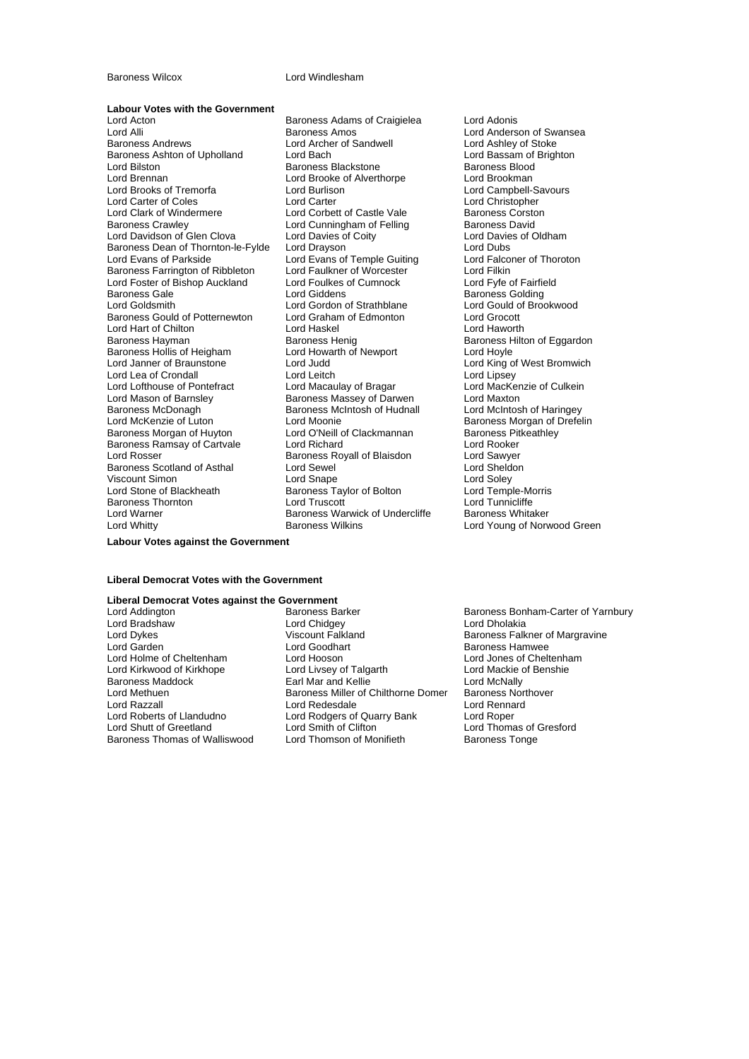#### **Baroness Wilcox** Lord Windlesham

## **Labour Votes with the Government**

Lord Alli **Lord Anderson of Swansea**<br>
Baroness Andrews **Lord Anderson Constructs Anderson Constructs**<br>
Lord Ashlev of Stoke<br>
Lord Ashlev of Stoke Baroness Ashton of Upholland Lord Bach Lord Bach Lord Bassam of Lord Bassam of Lord Bach Lord Baroness Blood<br>
Lord Bilston Corp. Baroness Blood Baroness Blood Baroness Blood Lord Brennan Lord Brooke of Alverthorpe Lord Brookman Lord Brooks of Tremorfa Lord Burlison Lord Campbell-Savourse Lord Campbell-Savourse Lord Campbell-Savourse Lord Christopher<br>
Lord Carter Coles Lord Carter Lord Christopher Lord Carter of Coles Lord Carter Lord Christopher Lord Clark of Windermere Lord Corbett of Castle Vale<br>Baroness Crawlev **Lord Cunningham of Felling** Lord Davidson of Glen Clova Lord Davies of Coity Lord Davies Continues Continues Continues Continues Continues<br>
Lord Davies Continues Continues Lord Davies Continues Continues Continues Continues Continues Continues Conti<br> Baroness Dean of Thornton-le-Fylde Lord Drayson<br>
Lord Evans of Anteside Lord Evans of Temple Guiting Lord Ealconer of Thoroton Baroness Farrington of Ribbleton Lord Faulkner of Worcester Corporation Lord Filkin<br>
Lord Foster of Bishop Auckland Lord Foulkes of Cumnock Lord Fyfe of Fairfield Lord Foster of Bishop Auckland Lord Foulkes<br>Baroness Gale **Lord Foulkes** Lord Giddens Lord Goldsmith Lord Gordon of Strathblane Lord Gould of Brookwood Baroness Gould of Potternewton Lord Graham of Edmonton Lord Grocott<br>
Lord Hart of Chilton Cord Haskel Lord Haskel Cord Haworth Lord Hart of Chilton<br>
Baroness Hayman<br>
Baroness Henig Baroness Hollis of Heigham Lord Howarth of Newport Lord Hoyle<br>
Lord Janner of Braunstone Lord Judd<br>
Lord King c Lord Lea of Crondall **Lord Leitch**<br>
Lord Lofthouse of Pontefract **Lord Macaulay of Bragar** Lord Mason of Barnsley **Baroness Massey of Darwen** Lord Maxton<br>Baroness McDonagh **Baroness McIntosh of Hudnall** Lord McIntosh of Haringey Baroness McDonagh and Baroness McIntosh of Hudnall<br>
Lord McKenzie of Luton Lord Moonie Baroness Morgan of Huyton Baroness Ramsay of Cartvale **Lord Richard Lord Rooker**<br>
Lord Rosser **Cartvall** Baroness Royall of Blaisdon Lord Sawyer Baroness Scotland of Asthal Viscount Simon **Calcular Contains Container Container** Lord Solet Lord Soley<br>
Lord Stone of Blackheath **Container Brand Store Store Store Store Store Store Store Store Brand Store Store Store Store Store Store Store Store** Baroness Thornton **Exercise Search Cord Truscott** Lord Tunnicliffe<br>
Lord Warner **Cord Lord Corporation**<br>
Baroness Warwick of Undercliffe Baroness Whitaker

Lord Acton Baroness Adams of Craigielea Lord Adonis Lord Archer of Sandwell Lord Ashley of Stoke<br>
Lord Bach<br>
Lord Bassam of Brighton Baroness Blackstone Baroness Blood<br>Lord Brooke of Alverthorne Barol Lord Brookman Lord Cunningham of Felling Baroness David<br>
Lord Davies of Coity<br>
Lord Davies of Oldham Lord Evans of Temple Guiting **Lord Giddens** Baroness Golding<br>
Lord Gordon of Strathblane Lord Gould of Brod Baroness Henig<br>
Lord Howarth of Newport<br>
Lord Hoyle<br>
Lord Hoyle Lord Janner of Braunstone Lord Judd Lord King of West Bromwich Lord Moonie<br>
Lord O'Neill of Clackmannan<br>
Baroness Pitkeathley Exaroness Royall of Blaisdon **Lord Sawyer**<br>
Lord Sewel **Lord Sheldon** Exaroness Taylor of Bolton **Example-Morrism Baroness Taylor of Bolton Lord Temple-Morrism Corrism Corrism Corrism**<br>Lord Truscott Lord Tunnicliffe Baroness Warwick of Undercliffe Lord Whitty **Example 2** Baroness Wilkins **Lord Young of Norwood Green** 

Lord MacKenzie of Culkein

**Labour Votes against the Government**

### **Liberal Democrat Votes with the Government**

# **Liberal Democrat Votes against the Government**

Lord Bradshaw **Lord Chidgey**<br>
Lord Dykes<br>
Viscount Falkland Lord Razzall<br>
Lord Roberts of Llandudno<br>
Lord Rodgers of Baroness Thomas of Walliswood

Lord Dykes Viscount Falkland Baroness Falkner of Margravine Lord Garden **Communist Communist Communist Communist Communist Communist Communist Communist Communist Communist Communist Communist Communist Communist Communist Communist Communist Communist Communist Communist Communist** Lord Hooson<br>
Lord Livsey of Talgarth Lord Mackie of Benshie Lord Kirkwood of Kirkhope Lord Livsey of Talgarth Lord Lord Mackie of Benshie<br>
Baroness Maddock Barl Mar and Kellie Lord McNally Baroness Maddock **Earl Mar and Kellie Communist Constitution**<br>
Lord Methuen **Communist Communist Communist Communist Communist Communist Communist Communist Communist Communist**<br>
Lord Methuen **Communist Communist Communist** Exaroness Miller of Chilthorne Domer Baroness Northorne Baroness Northorne Baroness Northorne<br>Lord Redesdale Lord Rennard Lord Roberts of Llandudno Lord Rodgers of Quarry Bank Lord Roper Lord Smith of Clifton<br>
Lord Thomson of Monifieth<br>
Baroness Tonge

Baroness Bonham-Carter of Yarnbury<br>Lord Dholakia